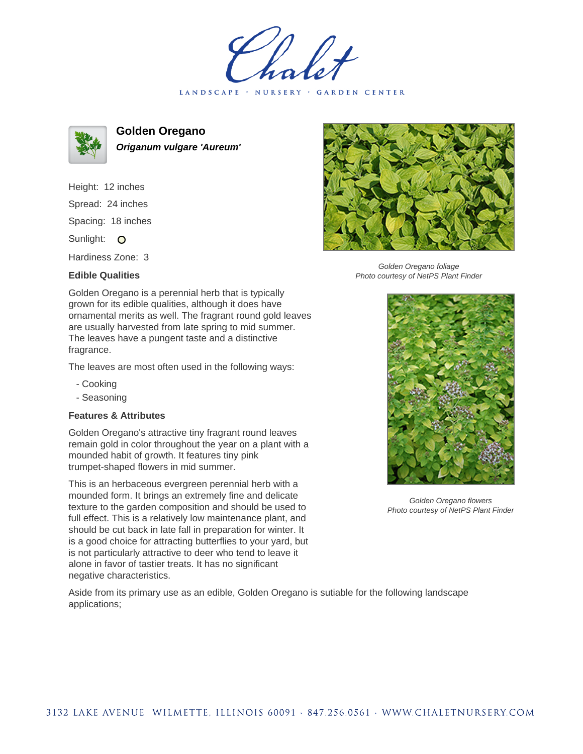LANDSCAPE · NURSERY · GARDEN CENTER



**Golden Oregano Origanum vulgare 'Aureum'**

Height: 12 inches Spread: 24 inches Spacing: 18 inches Sunlight: O

Hardiness Zone: 3

## **Edible Qualities**



The leaves are most often used in the following ways:

- Cooking
- Seasoning

## **Features & Attributes**

Golden Oregano's attractive tiny fragrant round leaves remain gold in color throughout the year on a plant with a mounded habit of growth. It features tiny pink trumpet-shaped flowers in mid summer.

This is an herbaceous evergreen perennial herb with a mounded form. It brings an extremely fine and delicate texture to the garden composition and should be used to full effect. This is a relatively low maintenance plant, and should be cut back in late fall in preparation for winter. It is a good choice for attracting butterflies to your yard, but is not particularly attractive to deer who tend to leave it alone in favor of tastier treats. It has no significant negative characteristics.

Aside from its primary use as an edible, Golden Oregano is sutiable for the following landscape applications;



Golden Oregano foliage Photo courtesy of NetPS Plant Finder



Golden Oregano flowers Photo courtesy of NetPS Plant Finder